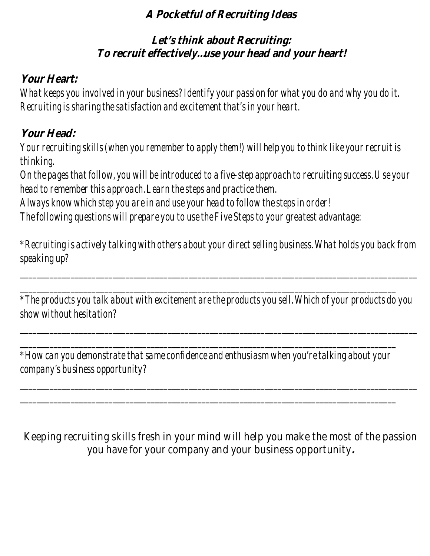#### **A Pocketful of Recruiting Ideas**

## **Let's think about Recruiting: To recruit effectively…use your head and your heart!**

### **Your Heart:**

*What keeps you involved in your business? Identify your passion for what you do and why you do it. Recruiting is sharing the satisfaction and excitement that's in your heart.* 

### **Your Head:**

*Your recruiting skills (when you remember to apply them!) will help you to think like your recruit is thinking. On the pages that follow, you will be introduced to a five-step approach to recruiting success. Use your head to remember this approach. Learn the steps and practice them. Always know which step you are in and use your head to follow the steps in order! The following questions will prepare you to use the Five Steps to your greatest advantage:* 

*\*Recruiting is actively talking with others about your direct selling business. What holds you back from speaking up?* 

*\_\_\_\_\_\_\_\_\_\_\_\_\_\_\_\_\_\_\_\_\_\_\_\_\_\_\_\_\_\_\_\_\_\_\_\_\_\_\_\_\_\_\_\_\_\_\_\_\_\_\_\_\_\_\_\_\_\_\_\_\_\_\_\_\_\_\_\_\_\_\_\_\_\_\_\_\_\_\_\_\_\_\_\_\_\_\_\_\_\_\_\_\_\_*

*\_\_\_\_\_\_\_\_\_\_\_\_\_\_\_\_\_\_\_\_\_\_\_\_\_\_\_\_\_\_\_\_\_\_\_\_\_\_\_\_\_\_\_\_\_\_\_\_\_\_\_\_\_\_\_\_\_\_\_\_\_\_\_\_\_\_\_\_\_\_\_\_\_\_\_\_\_\_\_\_\_\_\_\_\_\_\_\_\_* 

*\*The products you talk about with excitement are the products you sell. Which of your products do you show without hesitation?* 

*\_\_\_\_\_\_\_\_\_\_\_\_\_\_\_\_\_\_\_\_\_\_\_\_\_\_\_\_\_\_\_\_\_\_\_\_\_\_\_\_\_\_\_\_\_\_\_\_\_\_\_\_\_\_\_\_\_\_\_\_\_\_\_\_\_\_\_\_\_\_\_\_\_\_\_\_\_\_\_\_\_\_\_\_\_\_\_\_\_\_\_\_\_\_*

*\_\_\_\_\_\_\_\_\_\_\_\_\_\_\_\_\_\_\_\_\_\_\_\_\_\_\_\_\_\_\_\_\_\_\_\_\_\_\_\_\_\_\_\_\_\_\_\_\_\_\_\_\_\_\_\_\_\_\_\_\_\_\_\_\_\_\_\_\_\_\_\_\_\_\_\_\_\_\_\_\_\_\_\_\_\_\_\_\_\_\_\_\_\_*

*\_\_\_\_\_\_\_\_\_\_\_\_\_\_\_\_\_\_\_\_\_\_\_\_\_\_\_\_\_\_\_\_\_\_\_\_\_\_\_\_\_\_\_\_\_\_\_\_\_\_\_\_\_\_\_\_\_\_\_\_\_\_\_\_\_\_\_\_\_\_\_\_\_\_\_\_\_\_\_\_\_\_\_\_\_\_\_\_\_ \*How can you demonstrate that same confidence and enthusiasm when you're talking about your company's business opportunity?* 

*\_\_\_\_\_\_\_\_\_\_\_\_\_\_\_\_\_\_\_\_\_\_\_\_\_\_\_\_\_\_\_\_\_\_\_\_\_\_\_\_\_\_\_\_\_\_\_\_\_\_\_\_\_\_\_\_\_\_\_\_\_\_\_\_\_\_\_\_\_\_\_\_\_\_\_\_\_\_\_\_\_\_\_\_\_\_\_\_\_* 

Keeping recruiting skills fresh in your mind will help you make the most of the passion you have for your company and your business opportunity**.**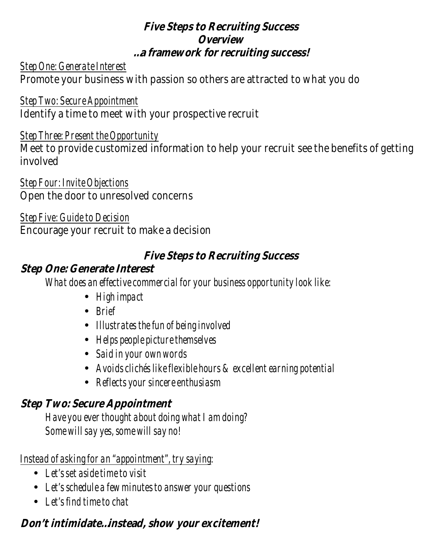#### **Five Steps to Recruiting Success Overview …a framework for recruiting success!**

#### *Step One: Generate Interest* Promote your business with passion so others are attracted to what you do

*Step Two: Secure Appointment* Identify a time to meet with your prospective recruit

#### *Step Three: Present the Opportunity*

Meet to provide customized information to help your recruit see the benefits of getting involved

#### *Step Four: Invite Objections* Open the door to unresolved concerns

#### *Step Five: Guide to Decision*

Encourage your recruit to make a decision

### **Five Steps to Recruiting Success**

### **Step One: Generate Interest**

 *What does an effective commercial for your business opportunity look like:* 

- *High impact*
- *Brief*
- *Illustrates the fun of being involved*
- *Helps people picture themselves*
- *Said in your own words*
- *Avoids clichés like flexible hours & excellent earning potential*
- *Reflects your sincere enthusiasm*

### **Step Two: Secure Appointment**

 *Have you ever thought about doing what I am doing? Some will say yes, some will say no!* 

### *Instead of asking for an "appointment", try saying:*

- *Let's set aside time to visit*
- *Let's schedule a few minutes to answer your questions*
- *Let's find time to chat*

# **Don't intimidate…instead, show your excitement!**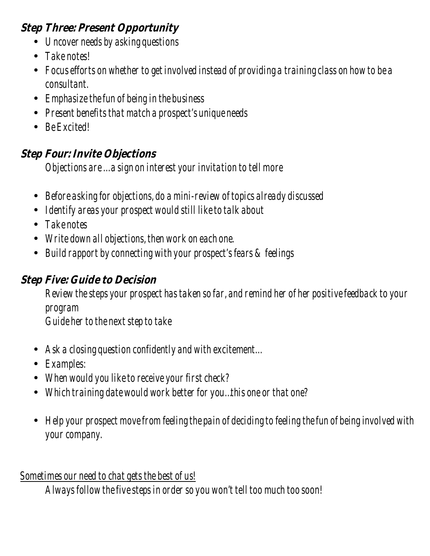### **Step Three: Present Opportunity**

- *Uncover needs by asking questions*
- *Take notes!*
- *Focus efforts on whether to get involved instead of providing a training class on how to be a consultant.*
- *Emphasize the fun of being in the business*
- *Present benefits that match a prospect's unique needs*
- *Be Excited!*

## **Step Four: Invite Objections**

 *Objections are … a sign on interest your invitation to tell more* 

- *Before asking for objections, do a mini-review of topics already discussed*
- *Identify areas your prospect would still like to talk about*
- *Take notes*
- *Write down all objections, then work on each one.*
- *Build rapport by connecting with your prospect's fears & feelings*

## **Step Five: Guide to Decision**

*Review the steps your prospect has taken so far, and remind her of her positive feedback to your program Guide her to the next step to take* 

- *Ask a closing question confidently and with excitement…*
- *Examples:*
- *When would you like to receive your first check?*
- *Which training date would work better for you…this one or that one?*
- *Help your prospect move from feeling the pain of deciding to feeling the fun of being involved with your company.*

## *Sometimes our need to chat gets the best of us!*

 *Always follow the five steps in order so you won't tell too much too soon!*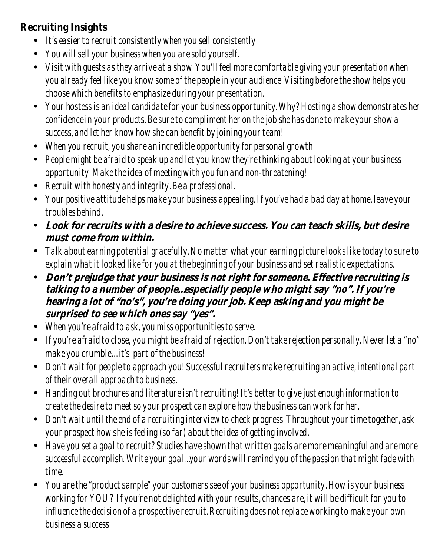### **Recruiting Insights**

- *It's easier to recruit consistently when you sell consistently.*
- *You will sell your business when you are sold yourself.*
- *Visit with guests as they arrive at a show. You'll feel more comfortable giving your presentation when you already feel like you know some of the people in your audience. Visiting before the show helps you choose which benefits to emphasize during your presentation.*
- *Your hostess is an ideal candidate for your business opportunity. Why? Hosting a show demonstrates her confidence in your products. Be sure to compliment her on the job she has done to make your show a success, and let her know how she can benefit by joining your team!*
- *When you recruit, you share an incredible opportunity for personal growth.*
- *People might be afraid to speak up and let you know they're thinking about looking at your business opportunity. Make the idea of meeting with you fun and non-threatening!*
- *Recruit with honesty and integrity. Be a professional.*
- *Your positive attitude helps make your business appealing. If you've had a bad day at home, leave your troubles behind.*
- **Look for recruits with a desire to achieve success. You can teach skills, but desire must come from within.**
- *Talk about earning potential gracefully. No matter what your earning picture looks like today to sure to explain what it looked like for you at the beginning of your business and set realistic expectations.*
- **Don't prejudge that your business is not right for someone. Effective recruiting is talking to a number of people…especially people who might say "no". If you're hearing a lot of "no's", you're doing your job. Keep asking and you might be surprised to see which ones say "yes".**
- *When you're afraid to ask, you miss opportunities to serve.*
- *If you're afraid to close, you might be afraid of rejection. Don't take rejection personally. Never let a "no" make you crumble… it's part of the business!*
- *Don't wait for people to approach you! Successful recruiters make recruiting an active, intentional part of their overall approach to business.*
- *Handing out brochures and literature isn't recruiting! It's better to give just enough information to create the desire to meet so your prospect can explore how the business can work for her.*
- *Don't wait until the end of a recruiting interview to check progress. Throughout your time together, ask your prospect how she is feeling (so far) about the idea of getting involved.*
- *Have you set a goal to recruit? Studies have shown that written goals are more meaningful and are more successful accomplish. Write your goal…your words will remind you of the passion that might fade with time.*
- *You are the "product sample" your customers see of your business opportunity. How is your business working for YOU? If you're not delighted with your results, chances are, it will be difficult for you to influence the decision of a prospective recruit. Recruiting does not replace working to make your own business a success.*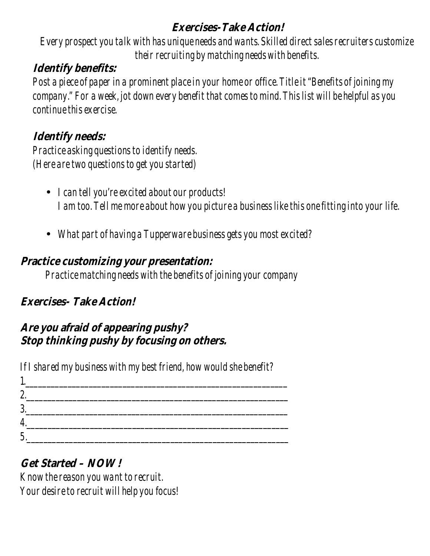### **Exercises-Take Action!**

*Every prospect you talk with has unique needs and wants. Skilled direct sales recruiters customize their recruiting by matching needs with benefits.* 

## **Identify benefits:**

*Post a piece of paper in a prominent place in your home or office. Title it "Benefits of joining my company." For a week, jot down every benefit that comes to mind. This list will be helpful as you continue this exercise.* 

## **Identify needs:**

*Practice asking questions to identify needs. (Here are two questions to get you started)* 

- *I can tell you're excited about our products! I am too. Tell me more about how you picture a business like this one fitting into your life.*
- *What part of having a Tupperware business gets you most excited?*

### **Practice customizing your presentation:**

*Practice matching needs with the benefits of joining your company* 

## **Exercises- Take Action!**

### **Are you afraid of appearing pushy? Stop thinking pushy by focusing on others.**

*If I shared my business with my best friend, how would she benefit?* 

| ŋ<br>$\overline{\mathsf{w}}$ |  |  |  |
|------------------------------|--|--|--|
| 2<br>v                       |  |  |  |
|                              |  |  |  |
| л                            |  |  |  |

## **Get Started – NOW!**

*Know the reason you want to recruit. Your desire to recruit will help you focus!*